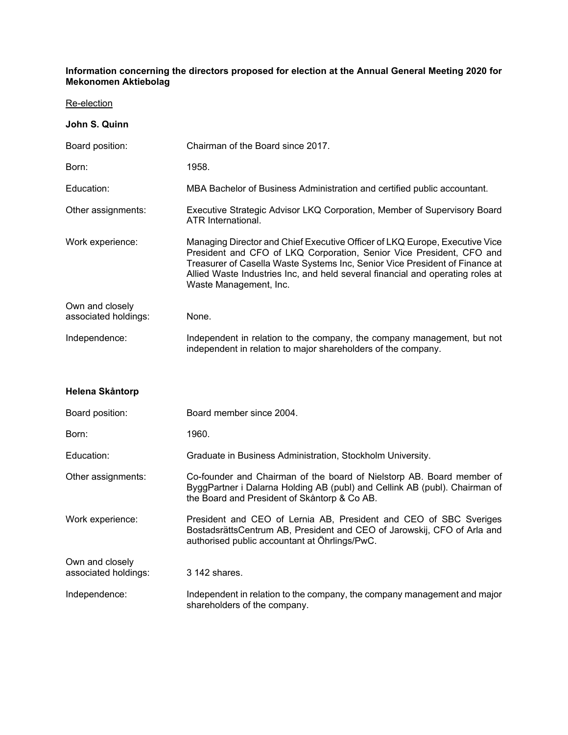## **Information concerning the directors proposed for election at the Annual General Meeting 2020 for Mekonomen Aktiebolag**

Re-election

Own and closely

| John S. Quinn                           |                                                                                                                                                                                                                                                                                                                                                |
|-----------------------------------------|------------------------------------------------------------------------------------------------------------------------------------------------------------------------------------------------------------------------------------------------------------------------------------------------------------------------------------------------|
| Board position:                         | Chairman of the Board since 2017.                                                                                                                                                                                                                                                                                                              |
| Born:                                   | 1958.                                                                                                                                                                                                                                                                                                                                          |
| Education:                              | MBA Bachelor of Business Administration and certified public accountant.                                                                                                                                                                                                                                                                       |
| Other assignments:                      | Executive Strategic Advisor LKQ Corporation, Member of Supervisory Board<br>ATR International.                                                                                                                                                                                                                                                 |
| Work experience:                        | Managing Director and Chief Executive Officer of LKQ Europe, Executive Vice<br>President and CFO of LKQ Corporation, Senior Vice President, CFO and<br>Treasurer of Casella Waste Systems Inc, Senior Vice President of Finance at<br>Allied Waste Industries Inc, and held several financial and operating roles at<br>Waste Management, Inc. |
| Own and closely<br>associated holdings: | None.                                                                                                                                                                                                                                                                                                                                          |
| Independence:                           | Independent in relation to the company, the company management, but not<br>independent in relation to major shareholders of the company.                                                                                                                                                                                                       |
| Helena Skåntorp                         |                                                                                                                                                                                                                                                                                                                                                |
| Board position:                         | Board member since 2004.                                                                                                                                                                                                                                                                                                                       |
| Born:                                   | 1960.                                                                                                                                                                                                                                                                                                                                          |
| Education:                              | Graduate in Business Administration, Stockholm University.                                                                                                                                                                                                                                                                                     |
| Other assignments:                      | Co-founder and Chairman of the board of Nielstorp AB. Board member of<br>ByggPartner i Dalarna Holding AB (publ) and Cellink AB (publ). Chairman of<br>the Board and President of Skåntorp & Co AB.                                                                                                                                            |
| Work experience:                        | President and CEO of Lernia AB, President and CEO of SBC Sveriges<br>BostadsrättsCentrum AB, President and CEO of Jarowskij, CFO of Arla and<br>authorised public accountant at Öhrlings/PwC.                                                                                                                                                  |

associated holdings: 3 142 shares. Independence: Independent in relation to the company, the company management and major shareholders of the company.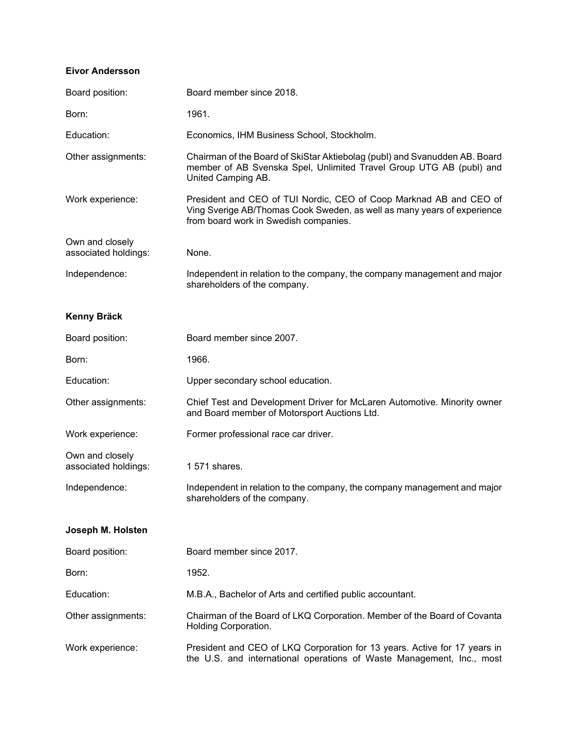## **Eivor Andersson**

| Board position:                         | Board member since 2018.                                                                                                                                                               |
|-----------------------------------------|----------------------------------------------------------------------------------------------------------------------------------------------------------------------------------------|
| Born:                                   | 1961.                                                                                                                                                                                  |
| Education:                              | Economics, IHM Business School, Stockholm.                                                                                                                                             |
| Other assignments:                      | Chairman of the Board of SkiStar Aktiebolag (publ) and Svanudden AB. Board<br>member of AB Svenska Spel, Unlimited Travel Group UTG AB (publ) and<br>United Camping AB.                |
| Work experience:                        | President and CEO of TUI Nordic, CEO of Coop Marknad AB and CEO of<br>Ving Sverige AB/Thomas Cook Sweden, as well as many years of experience<br>from board work in Swedish companies. |
| Own and closely<br>associated holdings: | None.                                                                                                                                                                                  |
| Independence:                           | Independent in relation to the company, the company management and major<br>shareholders of the company.                                                                               |
| <b>Kenny Bräck</b>                      |                                                                                                                                                                                        |
| Board position:                         | Board member since 2007.                                                                                                                                                               |
| Born:                                   | 1966.                                                                                                                                                                                  |
| Education:                              | Upper secondary school education.                                                                                                                                                      |
| Other assignments:                      | Chief Test and Development Driver for McLaren Automotive. Minority owner<br>and Board member of Motorsport Auctions Ltd.                                                               |
| Work experience:                        | Former professional race car driver.                                                                                                                                                   |
| Own and closely<br>associated holdings: | 1 571 shares.                                                                                                                                                                          |
| Independence:                           | Independent in relation to the company, the company management and major<br>shareholders of the company.                                                                               |
| Joseph M. Holsten                       |                                                                                                                                                                                        |
| Board position:                         | Board member since 2017.                                                                                                                                                               |
| Born:                                   | 1952.                                                                                                                                                                                  |
| Education:                              | M.B.A., Bachelor of Arts and certified public accountant.                                                                                                                              |
| Other assignments:                      | Chairman of the Board of LKQ Corporation. Member of the Board of Covanta<br>Holding Corporation.                                                                                       |
| Work experience:                        | President and CEO of LKQ Corporation for 13 years. Active for 17 years in                                                                                                              |

the U.S. and international operations of Waste Management, Inc., most